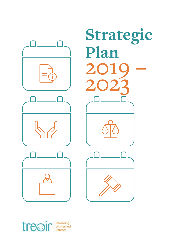



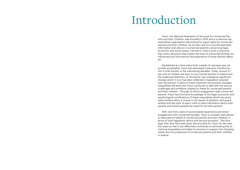Treoir, the National Federation of Services for Unmarried Parents and their Children, was founded in 1976 and is a national representative organisation advocating for equal rights for unmarried parents and their children. Its primary role is to provide specialist information and advice to unmarried parents concerning legal, economic and social issues. Central to Treoir's work is ensuring that policy decisions that impact the lives of unmarried families are influenced and informed by the experience of those directly affected.

Established at a time when birth outside of marriage was not socially acceptable, Treoir has witnessed a dramatic transformation in Irish society in the intervening decades. Today, around 37 per cent of children are born to non-marital families in Ireland and the traditional definition of 'the family' has undergone significant change which in turn has been reflected in legislation enacted over this period. In spite of these important and positive changes, inequalities still exist and Treoir continues to deal with the serious challenges and problems created by these for unmarried parents and their children. Through its direct engagement with unmarried parents, Treoir has first-hand knowledge of the legal, economic and psychological ramifications of these inequalities which are particularly evident when it comes to the issues of adoption and guardianship and the right of every child to have information about both parents and where possible be cared for by both parents.

With over forty years of accumulated experience and direct engagement with unmarried families, Treoir is uniquely well-placed to advocate on behalf of unmarried parents and their children in terms of both legislative reform and service provision. This Strategic Plan (the Plan) sets down the priorities for Treoir for the next five years so that it can effectively contribute to eliminating the remaining inequalities and adapt its services to support the changing needs and circumstances of unmarried parents and their children in Ireland.

## Introduction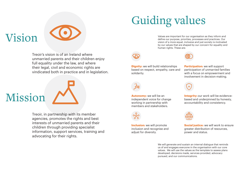Vision

## Guiding values



Treoir's vision is of an Ireland where unmarried parents and their children enjoy full equality under the law, and where their legal, civil and economic rights are vindicated both in practice and in legislation. Values are important for our organisation as they inform and define our purpose, priorities, processes and practices. Our vision of a more equal, inclusive and just society is motivated by our values that are shaped by our concern for equality and human rights. These are:



**Dignity:** we will build relationships based on respect, empathy, care and solidarity.

**Autonomy:** we will be an independent voice for change working in partnership with members and stakeholders.



**Inclusion:** we will promote inclusion and recognise and adjust for diversity.

**Integrity:** our work will be evidencebased and underpinned by honesty, accountability and consistency.



We will generate and sustain an internal dialogue that reminds us of and engages everyone in the organisation with our core values. We will use the values as the template to assess plans developed, decisions made, services provided, advocacy pursued, and our communications.



**Social justice:** we will work to ensure greater distribution of resources, power and status.

**Participation:** we will support participation of unmarried families with a focus on empowerment and involvement in decision-making.



Treoir, in partnership with its member agencies, promotes the rights and best interests of unmarried parents and their children through providing specialist information, support services, training and advocating for their rights.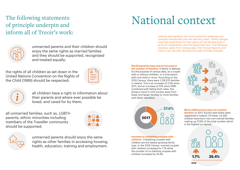The following statements of principle underpin and inform all of Treoir's work:

unmarried parents and their children should enjoy the same rights as married families and they should be supported, recognised and treated equally;

all children have a right to information about their parents and where ever possible be loved, and cared for by them;

unmarried parents should enjoy the same rights as other families in accessing housing, health, education, training and employment.

the rights of all children as set down in the United Nations Convention on the Rights of the Child (1989) should be respected;

| 6 |  |
|---|--|
|   |  |
|   |  |

all unmarried families, such as, LGBTI+ parents, ethnic minorities including members of the Traveller community should be supported;





## National context

Ireland's demographic and socio-economic landscape has changed dramatically over the last forty years. These changes have had implications for the nature of Irish families both in terms of composition, and the issues they face. The following statistics, taken from Census data, CSO Annual Reports and Treoir's own records, illustrate the scale of these changes:

**Declining birth rates and an increase in the number of families:** A family is defined, for the purpose of census data, as a couple

with or without children, or a lone parent with one child or more. According to the 2016 Census, there were 1,218,370 families in Ireland. This is an increase of 3.3% since 2011, and an increase of 51% since 1996. Combined with falling birth rates, this shows a trend in Irish society away from fewer and larger families to more families with fewer members.

#### **More children born into non-marital**

**families:** In 2017, 62,053 new births were registered in Ireland. Of these, 23,340 children were born into non-marital families, making up 37.6% of the total number which is the highest on record.

**Increase in cohabiting couples with children:** Cohabiting couples with children are the fastest growing family type. In the 2016 Census, married couples with children increased by 1.7% while the number of co-habiting couples with children increased by 25.4%





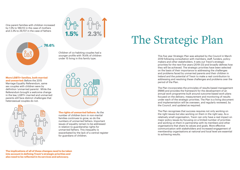One parent families with children increased by 1.5% to 189,112 in the case of mothers and 2.3% to 29,707 in the case of fathers

#### **More LGBTI+ families, both married**

**and unmarried:** Before the 2015 Marriage Equality Referendum, same sex couples with children were by definition 'unmarried parents'. While the Referendum brought a welcome change in the law, LGBTI+ married and unmarried parents still face distinct challenges that heterosexual couples do not.

Children of co-habiting couples had a younger profile with 76.6% of children under 15 living in this family type.

**1.5% 2.3%**

#### **The rights of unmarried fathers:** As the number of children born in non-marital families continues to grow, so do the numbers of unmarried fathers. Important issues of equality remain to be addressed in relation to guardianship rights for unmarried fathers. This inequality is exacerbated by the lack of a central register for guardians of children.

**The implications of all of these changes need to be taken into account in defining Treoir's strategic priorities and also need to be reflected in its services and advocacy.** 

## The Strategic Plan

## **76.6%**o<br>180

This five year Strategic Plan was adopted by the Council in March 2019 following consultation with members, staff, funders, policymakers and other stakeholders. It sets out Treoir's strategic priorities for the next five years (2019-23) and broadly defines how they will be achieved. The strategic priorities have been selected on the basis of their importance to addressing the challenges and problems faced by unmarried parents and their children in Ireland and the potential of Treoir to make a real contribution to addressing and resolving these challenges and problems over the period of the Plan.

The Plan incorporates the principles of results-based management (RBM) and provides the framework for the development of an annual work programme built around outcome-based work plans focused on the delivery, measurement and monitoring of results under each of the strategic priorities. The Plan is a living document and implementation will be overseen, and regularly reviewed, by the Council, and updated as required.

The Plan recognises that success requires not only working on the right issues but also working on them in the right way. As a relatively small organisation, Treoir can only have a real impact on major policy issues by focusing on a limited number of priorities and working on them in partnership with its members and other organisations that share its values and goals. More effective communication with stakeholders and increased engagement of membership organisations at national and local level are essential to achieving results.



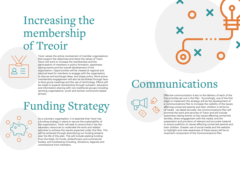### Communications

Treoir values the active involvement of member organisations that support the objectives and share the values of Treoir. Treoir will work to increase the membership and the participation of members in policy formation, awarenessraising events and the overall development of the organisation. Opportunities will be created at regional and national level for members to engage with the organisation, to discuss and exchange ideas, and shape policy. More active membership engagement will also be facilitated through faceto-face group meetings and the use of technology. Efforts will be made to expand membership through outreach, education and information-sharing with non-traditional groups including sporting organisations, youth and women community-based groups. Effective communication is key to the delivery of each of the

five priorities set out in the Plan. Accordingly, one of the first steps to implement the strategy will be the development of a Communications Plan to increase the visibility of the issues affecting unmarried parents and their children in all forms of media. Up-dated annually, the Communications Plan will promote the work and services of Treoir and will include awareness-raising events on key issues affecting unmarried families, direct engagement with the media, and the preparation and provision of relevant and accurate material to ensure publicity on issues affecting unmarried parents and their children. Greater use of social media and the website to highlight and raise awareness of these issues will be an important component of the Communications Plan.



## Funding Strategy

As a voluntary organisation, it is essential that Treoir has a funding strategy in place to secure the sustainability of the organisation. Treoir will seek to ensure that it has the necessary resources to undertake the work and related activities to achieve the results expected under this Plan. This will be achieved through diversifying our funding streams over the life of this plan. This will include seeking funding from the State, EU Funds, philanthropic and commercial bodies; and fundraising including, donations, legacies and contributions from members.

### Increasing the membership of Treoir

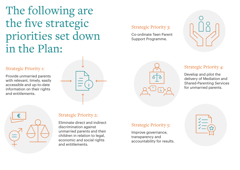## The following are the five strategic priorities set down in the Plan:

#### Strategic Priority 1:

Provide unmarried parents with relevant, timely, easily accessible and up-to-date information on their rights and entitlements.



### Strategic Priority 3:

Co-ordinate Teen Parent Support Programme.





### Strategic Priority 5:

Improve governance, transparency and accountability for results.



### Strategic Priority 2:

Eliminate direct and indirect discrimination against unmarried parents and their children in relation to legal, economic and social rights and entitlements.

### Strategic Priority 4:

Develop and pilot the delivery of Mediation and Shared-Parenting Services for unmarried parents.

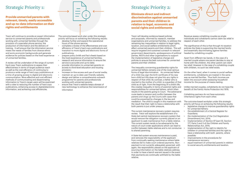Treoir will continue to provide an expert information service to unmarried parents and professionals working with unmarried families through the provision of a specialist phone service, the production of information and the delivery of training. It will ensure that the information service meets the needs of families from diverse ethnic and socio-economic backgrounds and generate evidence for policies based on the lived experience of unmarried families.

A review will be undertaken of the range of current hard copy Treoir publications to assess their effectiveness in terms of target audience reach as well as the cost-efficiency of continuing to produce a wide range of hard copy publications at a time of growing access to digital and electronic communication. More effective and cost efficient methods of communicating and disseminating information to Treoir's target users will be examined with a view to reducing the number of hard copy publications, enhancing access to digital/electronic information, and achieving cost efficiencies.

The outcome-based work plan under this strategic priority will focus on achieving the following results:

- develop further and expand the operational hours of the phone service;
- complete a review of the effectiveness and cost efficiency of Treoir's hard copy publications and transition to more digital and electronic forms of publications;
- prepare policy briefs and fact sheets based on the lived experience of unmarried families;
- research and source information to ensure the service is accurate and up-to-date;
- provide information to unmarried parents on access to third-level education and housing provision;
- increase on-line access and use of social media:
- maintain an up-to-date user-friendly website;
- design and deliver a comprehensive outreach programme for parents and professionals working with unmarried parents.
- ensure that Treoir's website keeps abreast of new technology to enhance the transmission of information

Treoir will develop evidence-based policies and proposals, informed by research, member organisations and unmarried families, to address the remaining key inequalities in relation to legal rights, taxation, and social welfare entitlements which affect unmarried parents and their children. This will require targeted and sustained outreach to relevant government departments, spokespersons of political parties, NGO's and other organisations to support the implementation of legislative change and policies to ensure the best outcomes for unmarried parents and their children.

The significance of this is that through it's taxation policies the State is supporting the married family and essentially discriminating against families headed by cohabiting couples.

- legislative change to improve guardianship rights for unmarried fathers;
- the establishment of a Central Register for Guardians;
- the implementation of the Civil Registration (Amendment) Act, 2014;
- Implementation of Section 97 (part 9), Section 177, Parts 2 and 3 of the Children and Family Relationships Act, 2015;
- implementation of the right to identity for children in unmarried families and the right to have a relationship with both parents, where possible;
- improvements in the procedures for maintenance recovery;
- equal treatment of unmarried parents in relation to social security entitlements and taxation.

The current maintenance recovery system requires review. Treoir will explore the establishment of a State-led central maintenance recovery system that would remove the obligation currently placed on an applicant to seek maintenance from a liable relative. The current system tends to be adversarial by the nature of court order applications which can lead to conflict between liable relatives and is not conducive to shared parenting.

The inequality concerning guardianship rights for unmarried fathers remains one of the most serious forms of legal discrimination. An unmarried father of a child may sign the birth certificate of his new born child but this does not give him any rights in respect of that child. By contrast, a father who is married to the mother of a child, is a guardian of that child as of right. From the beginning of a child's life, this creates inequality in terms of parental rights and responsibilities for unmarried fathers, which often results in the parents going to Court. The adversarial route leads to tension and conflict between the parents and clogs up the Courts with cases that could be prevented by changes in the law and mediation. The child is caught in this maelstrom with the result that their right to have a relationship with both parents is put under pressure. On the other hand, when it comes to social welfare entitlements, cohabitants are treated in the same way as married families. Thus both incomes are taken into account when assessing household income for the purpose of means testing. Unlike married couples, cohabitants do not have the benefit of the Family Home Protection Act 1976. Cohabiting partners do not have automatic inheritance rights from each other. The outcome-based workplan under this strategic priority will focus on achieving the following results:

A State-led system ensures maintenance is paid, and removes the responsibility of the applicant from continually seeking maintenance where liable relatives fail to make court ordered payments. Nonpayment is not currently adequately governed, with again, the responsibility placed on the applicant of sourcing information on the liable relatives address in order to have a bench warrant issued in the event that payments are continually withheld by the liable relative.

Revenue assess cohabiting couples as single individuals and cohabitants cannot claim tax relief in respect of each other.

Apart from different tax bands, in the case of a married couple where one parent decides to stay at home with the children, the other parent can claim tax relief. However in the case of a cohabiting couple with children, no such tax relief exists.

### Strategic Priority 1:

#### **Provide unmarried parents with relevant, timely, easily accessible and up-to-date information on their rights and entitlements**

### Strategic Priority 2:

**Eliminate direct and indirect discrimination against unmarried parents and their children in relation to legal, economic and social rights and entitlements**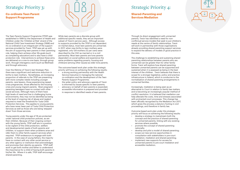The Teen Parents Support Programme (TPSP) was established in 1999 by the Department of Health and Children under the 'Children at Risk' strand of the National Child Care Investment Strategy (1998) and it's co-ordination is an integral part of the support services provided by Treoir. TPSP was set up with the aim of supporting teen parents in their parenting role, helping them achieve other life goals (such as completing education) and to also have a child protection role. Interventions to achieve these aims are delivered on a one-to-one basis, through group work, through interagency work (such as Meitheal) and through advocacy.

Over the lifetime of Treoir's last Strategic Plan, there was a significant and welcome reduction in births to teen mothers. Nonetheless, an increasing proportion of referrals to the TPSP are presenting with more complex needs including younger parents, care leavers, those experiencing repeat crisis pregnancies, those affected by the housing crisis and young migrant parents. Most pregnant/ parenting teenagers have no contact with other social services. Although many of them have high levels of need and live in challenging home environments, they may not be identified as being at the level of ongoing risk of abuse and neglect required to meet the threshold for Tusla Child Protection Services. This applies to young parents who have never been part of Tusla Child Protection Services as well as those who are being 'stepped down' from those services.

Young parents under the age of 18 are protected under national child protection policies, as are their children. Because of their ongoing contact with the young family, TPSP staff are in a position to be vigilant of the child protection, welfare and developmental needs of both parents and children, to support them when problems arise and refer them to other family support services when required. TPSP endeavours to engage with both parents. In the case of young fathers, the majority have no contact with any other social service or any other agency or institution that acknowledges and promotes their identity as parents. TPSP staff work to get both mother and father to understand the importance for a child of having both parents in his/her life. Where it is safe, TPSP staff encourage shared-parenting.

While teen parents are a discrete group with additional specific needs, they are an important subset of Treoir's service users. Although access to supports provided by the TPSP is not dependent on marital status, most teen parents are unmarried. In 2017, when new births to teen mothers were registered, only 124 mothers (12 per cent) were described by the CSO as married or in a civil partnership. Most teen parents are lone parents dependent on social welfare and experience the same problems regarding poverty, housing and childcare (among other issues) as older lone parents.

The outcome-based work plan under this strategic priority will focus on achieving the following results:

- a strong working partnership with the Health Service Executive in managing the national co-ordination and the development of the Teen Parents Support Programme;
- the wider policy and advocacy agenda of Treoir is informed by issues specific to teen parents;
- advocacy on behalf of teen parents is expanded;
- accessible information is prepared and provided
- in response to identified needs of teen parents.

### Strategic Priority 3:

#### **Co-ordinate Teen Parent Support Programme**



### Strategic Priority 4:

#### **Shared-Parenting and Services Mediation**

Through its direct engagement with unmarried parents, Treoir has identified a need for nonconflictual service models that seek to put children's needs at the centre of family relationships. Treoir will work in partnership with those organisations already providing shared parenting support services to expand the delivery of models of good practice in this area.

The challenge to establishing and sustaining shared parenting relationships between parents who are unmarried can be greater than for other family forms. Treoir will explore how shared parenting between unmarried parents can be supported and sustained when it is assessed as being in the best interest of the children. Treoir believes that there is scope for a stronger legislative, policy and practice infrastructure in Ireland, which is conducive to the normalisation of shared parenting arrangements in unmarried families.

Increasingly, mediation is being seen as an alternative to Court in relation to family law matters and is becoming an increasingly popular method of conflict resolution. It is believed that mediation can help alleviate the costs, time and stresses associated with protracted court processes. This change has been officially recognised by the Mediation Act 2017, which gives the process a statutory footing in civil proceedings, and therefore in family law.

Outcome-based work plan under this strategic priority will focus on achieving the following results:

- develop a strategy to mainstream both the concept and the practice of shared-parenting for unmarried parents, linking with any existing services where possible.
- promote the concept of shared-parenting nationally;
- develop and pilot a model of shared-parenting;
- scope out new service opportunities in consultation with stakeholders in pre-court mediation, mediation and shared-parenting;
- implement new supports for access for unmarried parents to pre-court mediation and accessible mediation;

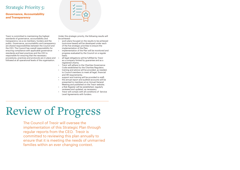Treoir is committed to maintaining the highest standards of governance, accountability and transparency vis-a-vis members, funders and the public. Governance, accountability and transparency are shared responsibilities between the Council and the CEO. The Council has overall responsibility for ensuring compliance with applicable governance standards and best practices and the CEO is responsible for ensuring that the necessary procedures, practices and protocols are in place and followed at all operational levels of the organisation.

Under this strategic priority, the following results will be achieved:

- work plans focused on the results to be achieved (outcome-based) will be developed under each of the five strategic priorities to ensure the implementation of the Plan;
- implementation of the Plan will be monitored and progress evaluated by the Council on a regular basis;
- all legal obligations will be fulfilled by Treoir as a company limited by guarantee and as a registered charity;
- Treoir will adhere to the Charities Governance Code established by the Charities Regulator;
- training and advice will be provided, as needed, to Council members to meet all legal, financial and HR requirements;
- support and training will be provided to staff;
- the annual report and audited accounts will be presented to members at an Annual General Meeting and published on the Treoir website;
- a Risk Register will be established, regularly reviewed and updated, as necessary;
- Treoir will comply with all conditions of Service Level Agreements with funders.

### Strategic Priority 5:

#### **Governance, Accountability and Transparency**



# Review of Progress

The Council of Treoir will oversee the implementation of this Strategic Plan through regular reports from the CEO. Treoir is committed to reviewing this plan annually to ensure that it is meeting the needs of unmarried families within an ever changing context.